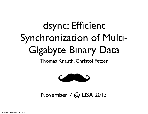#### dsync: Efficient Synchronization of Multi-Gigabyte Binary Data

Thomas Knauth, Christof Fetzer



November 7 @ LISA 2013

1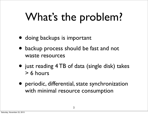#### What's the problem?

- doing backups is important
- backup process should be fast and not waste resources
- just reading 4 TB of data (single disk) takes > 6 hours
- periodic, differential, state synchronization with minimal resource consumption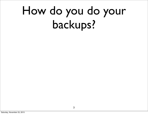### How do you do your backups?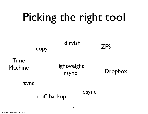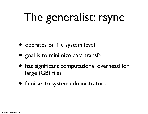## The generalist: rsync

- operates on file system level
- goal is to minimize data transfer
- has significant computational overhead for large (GB) files
- familiar to system administrators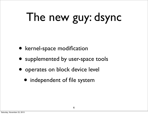# The new guy: dsync

- kernel-space modification
- supplemented by user-space tools
- operates on block device level
	- independent of file system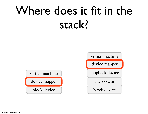#### Where does it fit in the stack?

virtual machine device mapper block device block device

virtual machine

 $T_{\rm eff}$  memory consumption of the tracking data structure

 $t_{\rm c}$ 

 $m_{\rm{max}}$ 

taching disks. Hard disk sizes of 4 TB are standard these

 $d\sigma$  to put this in context, the block-wise dirty sta-

 $\mathcal{L}_\mathrm{L}$  for a 10  $\mathcal{L}_\mathrm{L}$  setup requires 320 MiB of memory.

see two immediate ways to reduce the memory overhead:

1. Increase the minimum unit size from a single block

2. Replace the bit vector by a different data structure,

to 2, 4, or even more blocks.

device mapper

loopback device

file system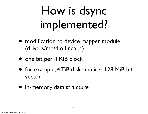### How is dsync implemented?

- modification to device mapper module (drivers/md/dm-linear.c)
- one bit per 4 KiB block
- for example, 4 TiB disk requires 128 MiB bit vector
- in-memory data structure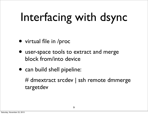## Interfacing with dsync

- virtual file in /proc
- user-space tools to extract and merge block from/into device
- can build shell pipeline:

# dmextract srcdev | ssh remote dmmerge targetdev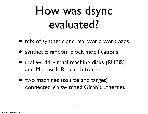#### How was dsync evaluated?

- mix of synthetic and real world workloads
- synthetic: random block modifications
- real world: virtual machine disks (RUBiS) and Microsoft Research traces
- two machines (source and target) connected via switched Gigabit Ethernet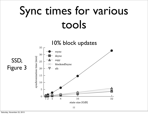#### Sync times for various tools

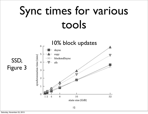#### Sync times for various tools

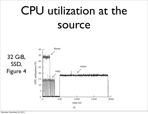### CPU utilization at the source



Figure 4: CPU utilization for a sample run of the syn-station for a sample run of three syn-syn-syn-syn-syn-syn-

Figure 5: Network transmit traffic on the sender side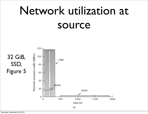### Network utilization at source

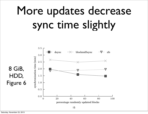### More updates decrease sync time slightly



Figure 6: For comparison, rsynchronizes the same  $\mathcal{F}_{\mathcal{A}}$  is the same  $\mathcal{F}_{\mathcal{A}}$  in the same  $\mathcal{F}_{\mathcal{A}}$ 

Figure 7: Varying the percentage of modified blocks for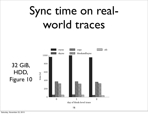#### Sync time on realworld traces



Figure 10: Synchronization times for realistic block-

Figure 11: Synchronization times for realistic block-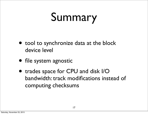#### Summary

- tool to synchronize data at the block device level
- file system agnostic
- trades space for CPU and disk I/O bandwidth: track modifications instead of computing checksums